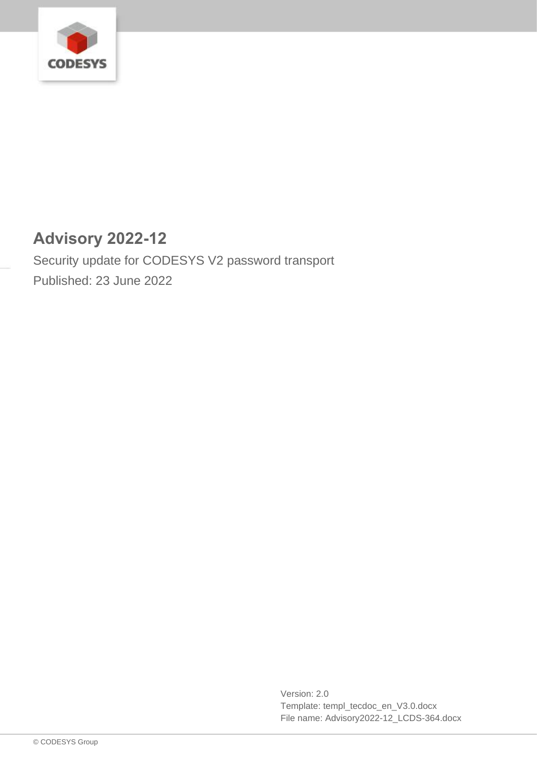

# **Advisory 2022-12**

Security update for CODESYS V2 password transport Published: 23 June 2022

> Version: 2.0 Template: templ\_tecdoc\_en\_V3.0.docx File name: Advisory2022-12\_LCDS-364.docx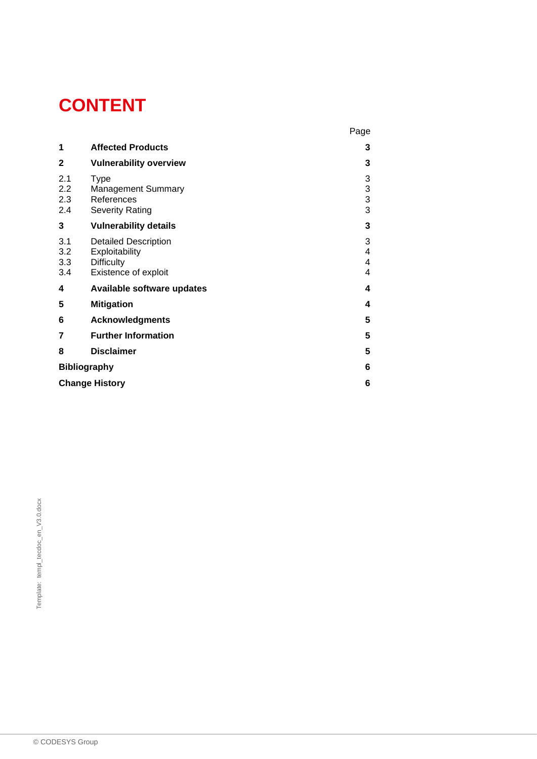# **CONTENT**

|                          |                                                                                            | Page                    |
|--------------------------|--------------------------------------------------------------------------------------------|-------------------------|
| 1                        | <b>Affected Products</b>                                                                   | 3                       |
| $\mathbf{2}$             | <b>Vulnerability overview</b>                                                              | 3                       |
| 2.1<br>2.2<br>2.3<br>2.4 | Type<br><b>Management Summary</b><br>References<br><b>Severity Rating</b>                  | 3<br>3<br>$\frac{3}{3}$ |
| 3                        | <b>Vulnerability details</b>                                                               | 3                       |
| 3.1<br>3.2<br>3.3<br>3.4 | <b>Detailed Description</b><br>Exploitability<br><b>Difficulty</b><br>Existence of exploit | 3<br>4<br>4<br>4        |
| 4                        | Available software updates                                                                 | 4                       |
| 5                        | <b>Mitigation</b>                                                                          | 4                       |
| 6                        | <b>Acknowledgments</b>                                                                     | 5                       |
| 7                        | <b>Further Information</b>                                                                 | 5                       |
| 8                        | <b>Disclaimer</b>                                                                          | 5                       |
| <b>Bibliography</b>      |                                                                                            | 6                       |
| <b>Change History</b>    |                                                                                            |                         |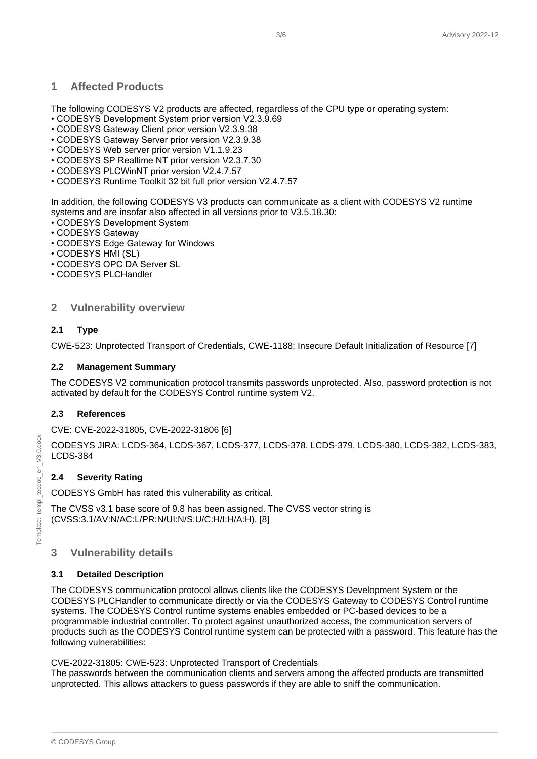# <span id="page-2-0"></span>**1 Affected Products**

The following CODESYS V2 products are affected, regardless of the CPU type or operating system:

- CODESYS Development System prior version V2.3.9.69
- CODESYS Gateway Client prior version V2.3.9.38
- CODESYS Gateway Server prior version V2.3.9.38
- CODESYS Web server prior version V1.1.9.23
- CODESYS SP Realtime NT prior version V2.3.7.30
- CODESYS PLCWinNT prior version V2.4.7.57
- CODESYS Runtime Toolkit 32 bit full prior version V2.4.7.57

In addition, the following CODESYS V3 products can communicate as a client with CODESYS V2 runtime systems and are insofar also affected in all versions prior to V3.5.18.30:

- CODESYS Development System
- CODESYS Gateway
- CODESYS Edge Gateway for Windows
- CODESYS HMI (SL)
- CODESYS OPC DA Server SL
- CODESYS PLCHandler

## <span id="page-2-1"></span>**2 Vulnerability overview**

### <span id="page-2-2"></span>**2.1 Type**

CWE-523: Unprotected Transport of Credentials, CWE-1188: Insecure Default Initialization of Resource [7]

#### <span id="page-2-3"></span>**2.2 Management Summary**

The CODESYS V2 communication protocol transmits passwords unprotected. Also, password protection is not activated by default for the CODESYS Control runtime system V2.

#### <span id="page-2-4"></span>**2.3 References**

CVE: CVE-2022-31805, CVE-2022-31806 [6]

CODESYS JIRA: LCDS-364, LCDS-367, LCDS-377, LCDS-378, LCDS-379, LCDS-380, LCDS-382, LCDS-383, LCDS-384

## <span id="page-2-5"></span>**2.4 Severity Rating**

CODESYS GmbH has rated this vulnerability as critical.

The CVSS v3.1 base score of 9.8 has been assigned. The CVSS vector string is (CVSS:3.1/AV:N/AC:L/PR:N/UI:N/S:U/C:H/I:H/A:H). [8]

# <span id="page-2-6"></span>**3 Vulnerability details**

#### <span id="page-2-7"></span>**3.1 Detailed Description**

The CODESYS communication protocol allows clients like the CODESYS Development System or the CODESYS PLCHandler to communicate directly or via the CODESYS Gateway to CODESYS Control runtime systems. The CODESYS Control runtime systems enables embedded or PC-based devices to be a programmable industrial controller. To protect against unauthorized access, the communication servers of products such as the CODESYS Control runtime system can be protected with a password. This feature has the following vulnerabilities:

#### CVE-2022-31805: CWE-523: Unprotected Transport of Credentials

The passwords between the communication clients and servers among the affected products are transmitted unprotected. This allows attackers to guess passwords if they are able to sniff the communication.

© CODESYS Group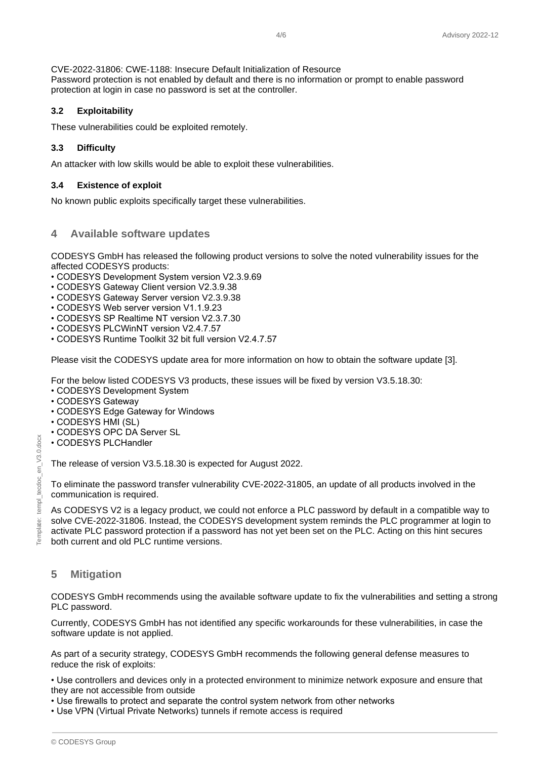#### CVE-2022-31806: CWE-1188: Insecure Default Initialization of Resource

Password protection is not enabled by default and there is no information or prompt to enable password protection at login in case no password is set at the controller.

#### <span id="page-3-0"></span>**3.2 Exploitability**

These vulnerabilities could be exploited remotely.

### <span id="page-3-1"></span>**3.3 Difficulty**

An attacker with low skills would be able to exploit these vulnerabilities.

#### <span id="page-3-2"></span>**3.4 Existence of exploit**

<span id="page-3-3"></span>No known public exploits specifically target these vulnerabilities.

### **4 Available software updates**

CODESYS GmbH has released the following product versions to solve the noted vulnerability issues for the affected CODESYS products:

- CODESYS Development System version V2.3.9.69
- CODESYS Gateway Client version V2.3.9.38
- CODESYS Gateway Server version V2.3.9.38
- CODESYS Web server version V1.1.9.23
- CODESYS SP Realtime NT version V2.3.7.30
- CODESYS PLCWinNT version V2.4.7.57
- CODESYS Runtime Toolkit 32 bit full version V2.4.7.57

Please visit the CODESYS update area for more information on how to obtain the software update [3].

For the below listed CODESYS V3 products, these issues will be fixed by version V3.5.18.30:

- CODESYS Development System
- CODESYS Gateway
- CODESYS Edge Gateway for Windows
- CODESYS HMI (SL)
- CODESYS OPC DA Server SL
- CODESYS PLCHandler

The release of version V3.5.18.30 is expected for August 2022.

To eliminate the password transfer vulnerability CVE-2022-31805, an update of all products involved in the communication is required.

As CODESYS V2 is a legacy product, we could not enforce a PLC password by default in a compatible way to solve CVE-2022-31806. Instead, the CODESYS development system reminds the PLC programmer at login to activate PLC password protection if a password has not yet been set on the PLC. Acting on this hint secures both current and old PLC runtime versions.

# <span id="page-3-4"></span>**5 Mitigation**

CODESYS GmbH recommends using the available software update to fix the vulnerabilities and setting a strong PLC password.

Currently, CODESYS GmbH has not identified any specific workarounds for these vulnerabilities, in case the software update is not applied.

As part of a security strategy, CODESYS GmbH recommends the following general defense measures to reduce the risk of exploits:

• Use controllers and devices only in a protected environment to minimize network exposure and ensure that they are not accessible from outside

- Use firewalls to protect and separate the control system network from other networks
- Use VPN (Virtual Private Networks) tunnels if remote access is required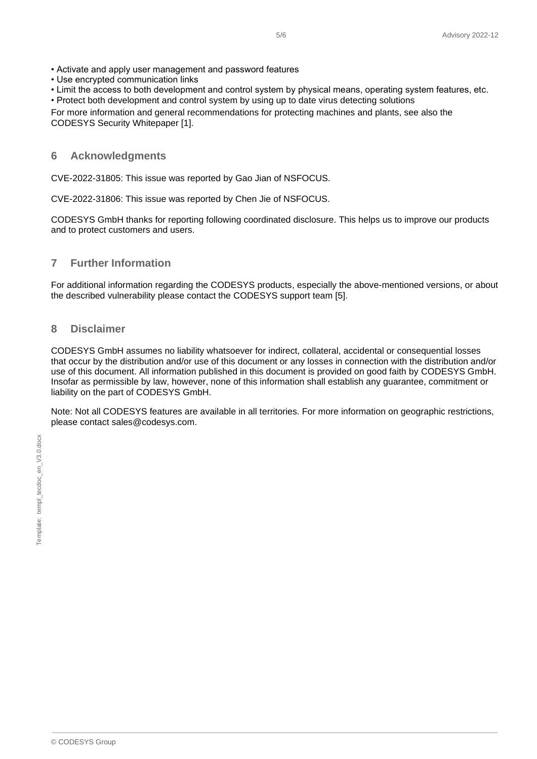• Activate and apply user management and password features

• Use encrypted communication links

• Limit the access to both development and control system by physical means, operating system features, etc.

• Protect both development and control system by using up to date virus detecting solutions

For more information and general recommendations for protecting machines and plants, see also the CODESYS Security Whitepaper [1].

#### <span id="page-4-0"></span>**6 Acknowledgments**

CVE-2022-31805: This issue was reported by Gao Jian of NSFOCUS.

CVE-2022-31806: This issue was reported by Chen Jie of NSFOCUS.

CODESYS GmbH thanks for reporting following coordinated disclosure. This helps us to improve our products and to protect customers and users.

### <span id="page-4-1"></span>**7 Further Information**

For additional information regarding the CODESYS products, especially the above-mentioned versions, or about the described vulnerability please contact the CODESYS support team [5].

#### <span id="page-4-2"></span>**8 Disclaimer**

CODESYS GmbH assumes no liability whatsoever for indirect, collateral, accidental or consequential losses that occur by the distribution and/or use of this document or any losses in connection with the distribution and/or use of this document. All information published in this document is provided on good faith by CODESYS GmbH. Insofar as permissible by law, however, none of this information shall establish any guarantee, commitment or liability on the part of CODESYS GmbH.

Note: Not all CODESYS features are available in all territories. For more information on geographic restrictions, please contact sales@codesys.com.